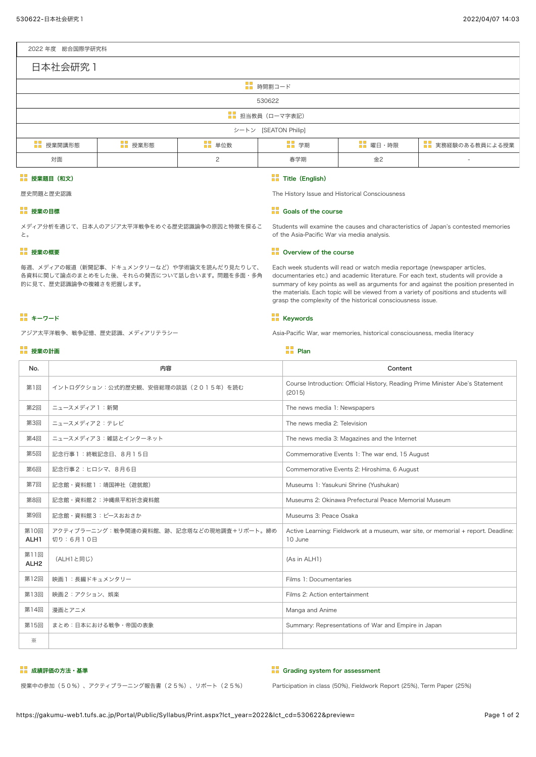### 2022 年度 総合国際学研究科

| 日本社会研究 1             |         |               |      |                |                   |  |  |  |  |  |
|----------------------|---------|---------------|------|----------------|-------------------|--|--|--|--|--|
| ■■ 時間割コード            |         |               |      |                |                   |  |  |  |  |  |
| 530622               |         |               |      |                |                   |  |  |  |  |  |
| ■■ 担当教員 (ローマ字表記)     |         |               |      |                |                   |  |  |  |  |  |
| シートン [SEATON Philip] |         |               |      |                |                   |  |  |  |  |  |
| ■■ 授業開講形態            | ■■ 授業形態 | ■■ 単位数        | ■ 学期 | <b>B</b> 曜日·時限 | ■■ 実務経験のある教員による授業 |  |  |  |  |  |
| 対面                   |         | $\mathcal{D}$ | 春学期  | 金2             | $\sim$            |  |  |  |  |  |

## 授業題目(和文)

歴史問題と歴史認識

メディア分析を通じて、日本人のアジア太平洋戦争をめぐる歴史認識論争の原因と特徴を探るこ

毎週、メディアの報道(新聞記事、ドキュメンタリーなど)や学術論文を読んだり見たりして、 各資料に関して論点のまとめをした後、それらの賛否について話し合います。問題を多面・多角

### ■■ 授業の目標

■■ 授業の概要

的に見て、歴史認識論争の複雑さを把握します。

アジア太平洋戦争、戦争記憶、歴史認識、メディアリテラシー

と。

**Title (English)** The History Issue and Historical Consciousness

### **B** Goals of the course

Students will examine the causes and characteristics of Japan's contested memories of the Asia-Pacific War via media analysis.

# **D** Overview of the course

Each week students will read or watch media reportage (newspaper articles, documentaries etc.) and academic literature. For each text, students will provide a summary of key points as well as arguments for and against the position presented in the materials. Each topic will be viewed from a variety of positions and students will grasp the complexity of the historical consciousness issue.

### **H** Keywords

Asia-Pacific War, war memories, historical consciousness, media literacy

#### 授業の計画 Plan アイディー しょうかん しゅうしょう しゅうしょう しゅうしゅうしゅぎ しゅうしゅうしゅ

**コ**キーワード

| 内容                                                    | Content                                                                                      |  |  |
|-------------------------------------------------------|----------------------------------------------------------------------------------------------|--|--|
| イントロダクション:公式的歴史観、安倍総理の談話 (2015年) を読む                  | Course Introduction: Official History, Reading Prime Minister Abe's Statement<br>(2015)      |  |  |
| ニュースメディア1:新聞                                          | The news media 1: Newspapers                                                                 |  |  |
| ニュースメディア2:テレビ                                         | The news media 2: Television                                                                 |  |  |
| ニュースメディア3:雑誌とインターネット                                  | The news media 3: Magazines and the Internet                                                 |  |  |
| 記念行事1:終戦記念日、8月15日                                     | Commemorative Events 1: The war end, 15 August                                               |  |  |
| 記念行事2:ヒロシマ、8月6日                                       | Commemorative Events 2: Hiroshima, 6 August                                                  |  |  |
| 記念館·資料館 1 : 靖国神社 (遊就館)                                | Museums 1: Yasukuni Shrine (Yushukan)                                                        |  |  |
| 記念館·資料館2:沖縄県平和祈念資料館                                   | Museums 2: Okinawa Prefectural Peace Memorial Museum                                         |  |  |
| 記念館・資料館3:ピースおおさか                                      | Museums 3: Peace Osaka                                                                       |  |  |
| アクティブラーニング:戦争関連の資料館、跡、記念塔などの現地調査+リポート。締め<br>切り: 6月10日 | Active Learning: Fieldwork at a museum, war site, or memorial + report. Deadline:<br>10 June |  |  |
| (ALH1と同じ)                                             | (As in ALH1)                                                                                 |  |  |
| 映画1:長編ドキュメンタリー                                        | Films 1: Documentaries                                                                       |  |  |
| 映画2:アクション、娯楽                                          | Films 2: Action entertainment                                                                |  |  |
| 漫画とアニメ                                                | Manga and Anime                                                                              |  |  |
| まとめ:日本における戦争・帝国の表象                                    | Summary: Representations of War and Empire in Japan                                          |  |  |
|                                                       |                                                                                              |  |  |
|                                                       |                                                                                              |  |  |

### ■■ 成績評価の方法・基準

#### **FF** Grading system for assessment

授業中の参加(50%)、アクティブラーニング報告書(25%)、リポート(25%)

Participation in class (50%), Fieldwork Report (25%), Term Paper (25%)